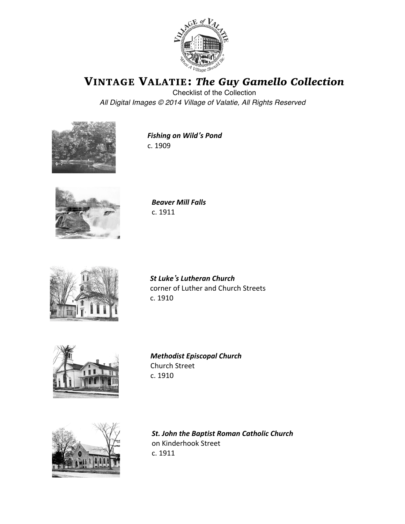

VINTAGE VALATIE: *The Guy Gamello Collection*

Checklist of the Collection *All Digital Images* © *2014 Village of Valatie, All Rights Reserved*



**Fishing on Wild's Pond** c. 1909



*Beaver Mill Falls* c. 1911



*St Luke's Lutheran Church* corner of Luther and Church Streets c. 1910 



*Methodist Episcopal Church* Church Street c. 1910 



**St. John the Baptist Roman Catholic Church** on Kinderhook Street c. 1911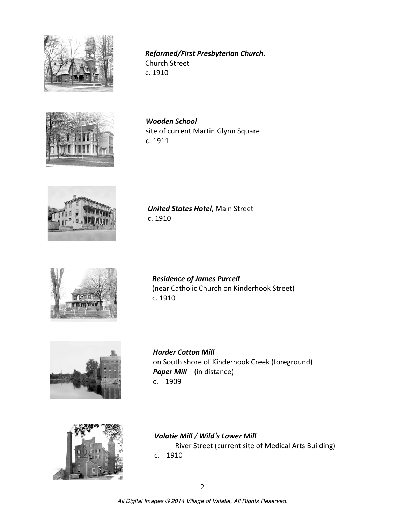

*Reformed/First Presbyterian Church*, Church Street c. 1910 



*Wooden School* site of current Martin Glynn Square c. 1911 



*United States Hotel, Main Street* c. 1910 



*Residence of James Purcell* (near Catholic Church on Kinderhook Street) c. 1910 



*Harder Cotton Mill*  on South shore of Kinderhook Creek (foreground) **Paper Mill** (in distance) c. 1909 



*Valatie Mill* / *Wild*'s Lower Mill River Street (current site of Medical Arts Building) c. 1910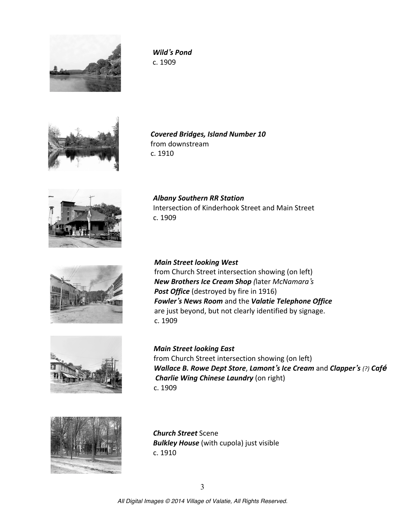

*Wild's Pond* c. 1909 



*Covered Bridges, Island Number 10* from downstream c. 1910 

*Albany Southern RR Station*



Intersection of Kinderhook Street and Main Street c. 1909 



*Main Street looking West* from Church Street intersection showing (on left) *New Brothers Ice Cream Shop (*later *McNamara's* **Post Office** (destroyed by fire in 1916) **Fowler**'s News Room and the Valatie Telephone Office are just beyond, but not clearly identified by signage. c. 1909 



*Main Street looking East* from Church Street intersection showing (on left) *Wallace B. Rowe Dept Store, Lamont's Ice Cream and Clapper's (?) Café Charlie Wing Chinese Laundry* (on right) c. 1909



*Church Street* Scene **Bulkley House** (with cupola) just visible  $c. 1910$